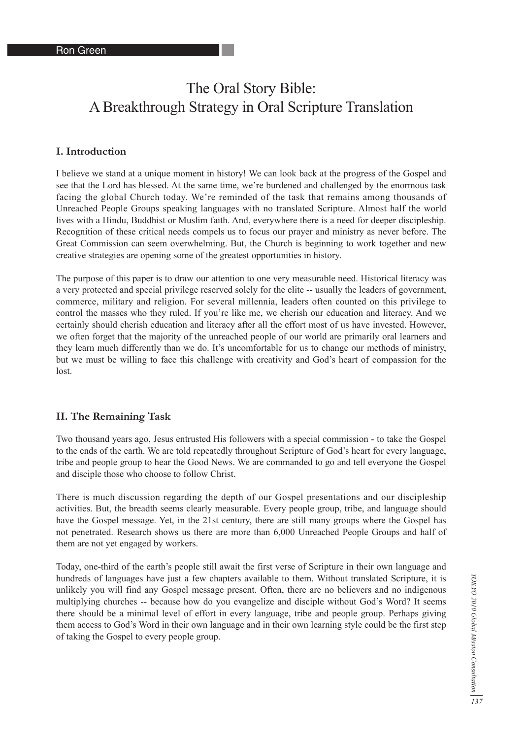# The Oral Story Bible: A Breakthrough Strategy in Oral Scripture Translation

#### **I. Introduction**

I believe we stand at a unique moment in history! We can look back at the progress of the Gospel and see that the Lord has blessed. At the same time, we're burdened and challenged by the enormous task facing the global Church today. We're reminded of the task that remains among thousands of Unreached People Groups speaking languages with no translated Scripture. Almost half the world lives with a Hindu, Buddhist or Muslim faith. And, everywhere there is a need for deeper discipleship. Recognition of these critical needs compels us to focus our prayer and ministry as never before. The Great Commission can seem overwhelming. But, the Church is beginning to work together and new creative strategies are opening some of the greatest opportunities in history.

The purpose of this paper is to draw our attention to one very measurable need. Historical literacy was a very protected and special privilege reserved solely for the elite -- usually the leaders of government, commerce, military and religion. For several millennia, leaders often counted on this privilege to control the masses who they ruled. If you're like me, we cherish our education and literacy. And we certainly should cherish education and literacy after all the effort most of us have invested. However, we often forget that the majority of the unreached people of our world are primarily oral learners and they learn much differently than we do. It's uncomfortable for us to change our methods of ministry, but we must be willing to face this challenge with creativity and God's heart of compassion for the lost.

#### **II. The Remaining Task**

Two thousand years ago, Jesus entrusted His followers with a special commission - to take the Gospel to the ends of the earth. We are told repeatedly throughout Scripture of God's heart for every language, tribe and people group to hear the Good News. We are commanded to go and tell everyone the Gospel and disciple those who choose to follow Christ.

There is much discussion regarding the depth of our Gospel presentations and our discipleship activities. But, the breadth seems clearly measurable. Every people group, tribe, and language should have the Gospel message. Yet, in the 21st century, there are still many groups where the Gospel has not penetrated. Research shows us there are more than 6,000 Unreached People Groups and half of them are not yet engaged by workers.

Today, one-third of the earth's people still await the first verse of Scripture in their own language and hundreds of languages have just a few chapters available to them. Without translated Scripture, it is unlikely you will find any Gospel message present. Often, there are no believers and no indigenous multiplying churches -- because how do you evangelize and disciple without God's Word? It seems there should be a minimal level of effort in every language, tribe and people group. Perhaps giving them access to God's Word in their own language and in their own learning style could be the first step of taking the Gospel to every people group.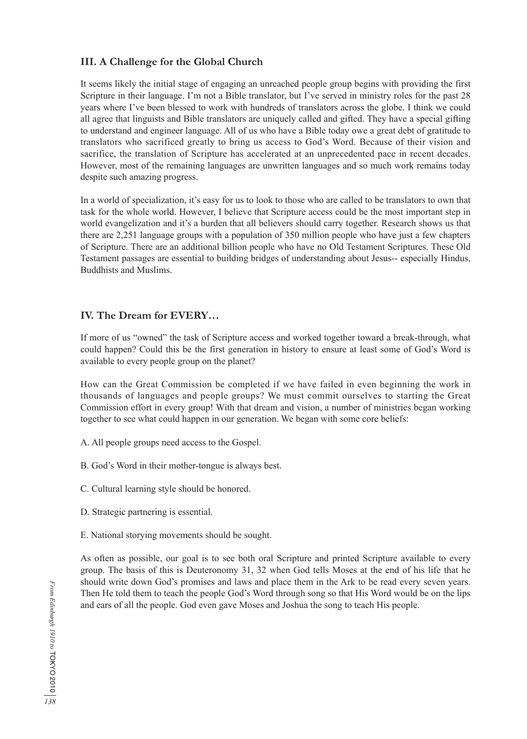# **III. A Challenge for the Global Church**

It seems likely the initial stage of engaging an unreached people group begins with providing the first Scripture in their language. I'm not a Bible translator, but I've served in ministry roles for the past 28 years where I've been blessed to work with hundreds of translators across the globe. I think we could all agree that linguists and Bible translators are uniquely called and gifted. They have a special gifting to understand and engineer language. All of us who have a Bible today owe a great debt of gratitude to translators who sacrificed greatly to bring us access to God's Word. Because of their vision and sacrifice, the translation of Scripture has accelerated at an unprecedented pace in recent decades. However, most of the remaining languages are unwritten languages and so much work remains today despite such amazing progress.

In a world of specialization, it's easy for us to look to those who are called to be translators to own that task for the whole world. However, I believe that Scripture access could be the most important step in world evangelization and it's a burden that all believers should carry together. Research shows us that there are 2,251 language groups with a population of 350 million people who have just a few chapters of Scripture. There are an additional billion people who have no Old Testament Scriptures. These Old Testament passages are essential to building bridges of understanding about Jesus-- especially Hindus, Buddhists and Muslims.

# **IV. The Dream for EVERY…**

If more of us "owned" the task of Scripture access and worked together toward a break-through, what could happen? Could this be the first generation in history to ensure at least some of God's Word is available to every people group on the planet?

How can the Great Commission be completed if we have failed in even beginning the work in thousands of languages and people groups? We must commit ourselves to starting the Great Commission effort in every group! With that dream and vision, a number of ministries began working together to see what could happen in our generation. We began with some core beliefs:

- A. All people groups need access to the Gospel.
- B. God's Word in their mother-tongue is always best.
- C. Cultural learning style should be honored.
- D. Strategic partnering is essential.
- E. National storying movements should be sought.

As often as possible, our goal is to see both oral Scripture and printed Scripture available to every group. The basis of this is Deuteronomy 31, 32 when God tells Moses at the end of his life that he should write down God's promises and laws and place them in the Ark to be read every seven years. Then He told them to teach the people God's Word through song so that His Word would be on the lips and ears of all the people. God even gave Moses and Joshua the song to teach His people.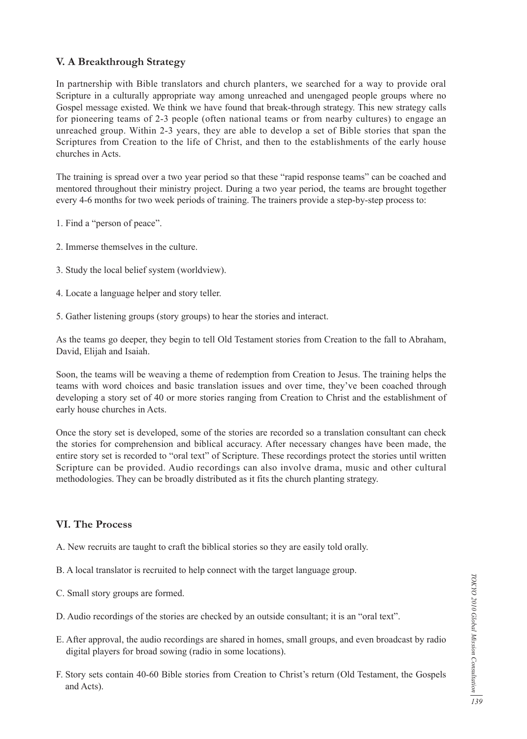# **V. A Breakthrough Strategy**

In partnership with Bible translators and church planters, we searched for a way to provide oral Scripture in a culturally appropriate way among unreached and unengaged people groups where no Gospel message existed. We think we have found that break-through strategy. This new strategy calls for pioneering teams of 2-3 people (often national teams or from nearby cultures) to engage an unreached group. Within 2-3 years, they are able to develop a set of Bible stories that span the Scriptures from Creation to the life of Christ, and then to the establishments of the early house churches in Acts.

The training is spread over a two year period so that these "rapid response teams" can be coached and mentored throughout their ministry project. During a two year period, the teams are brought together every 4-6 months for two week periods of training. The trainers provide a step-by-step process to:

- 1. Find a "person of peace".
- 2. Immerse themselves in the culture.
- 3. Study the local belief system (worldview).
- 4. Locate a language helper and story teller.
- 5. Gather listening groups (story groups) to hear the stories and interact.

As the teams go deeper, they begin to tell Old Testament stories from Creation to the fall to Abraham, David, Elijah and Isaiah.

Soon, the teams will be weaving a theme of redemption from Creation to Jesus. The training helps the teams with word choices and basic translation issues and over time, they've been coached through developing a story set of 40 or more stories ranging from Creation to Christ and the establishment of early house churches in Acts.

Once the story set is developed, some of the stories are recorded so a translation consultant can check the stories for comprehension and biblical accuracy. After necessary changes have been made, the entire story set is recorded to "oral text" of Scripture. These recordings protect the stories until written Scripture can be provided. Audio recordings can also involve drama, music and other cultural methodologies. They can be broadly distributed as it fits the church planting strategy.

### **VI. The Process**

- A. New recruits are taught to craft the biblical stories so they are easily told orally.
- B. A local translator is recruited to help connect with the target language group.
- C. Small story groups are formed.
- D. Audio recordings of the stories are checked by an outside consultant; it is an "oral text".
- E. After approval, the audio recordings are shared in homes, small groups, and even broadcast by radio digital players for broad sowing (radio in some locations).
- F. Story sets contain 40-60 Bible stories from Creation to Christ's return (Old Testament, the Gospels and Acts).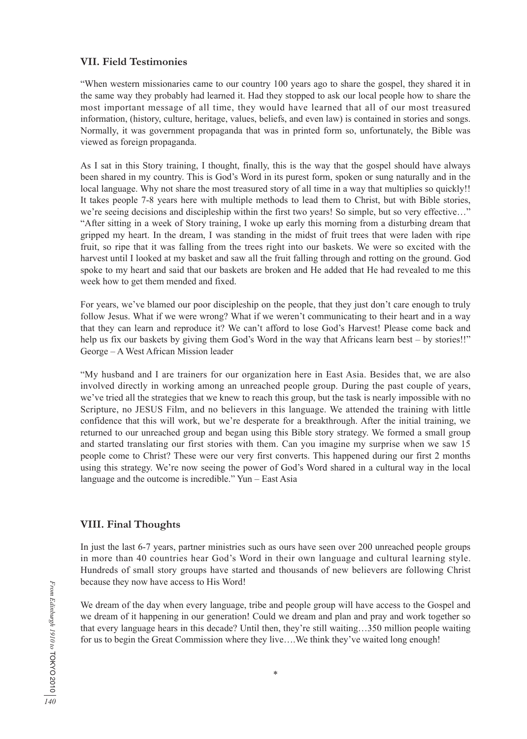#### **VII. Field Testimonies**

"When western missionaries came to our country 100 years ago to share the gospel, they shared it in the same way they probably had learned it. Had they stopped to ask our local people how to share the most important message of all time, they would have learned that all of our most treasured information, (history, culture, heritage, values, beliefs, and even law) is contained in stories and songs. Normally, it was government propaganda that was in printed form so, unfortunately, the Bible was viewed as foreign propaganda.

As I sat in this Story training, I thought, finally, this is the way that the gospel should have always been shared in my country. This is God's Word in its purest form, spoken or sung naturally and in the local language. Why not share the most treasured story of all time in a way that multiplies so quickly!! It takes people 7-8 years here with multiple methods to lead them to Christ, but with Bible stories, we're seeing decisions and discipleship within the first two years! So simple, but so very effective…" "After sitting in a week of Story training, I woke up early this morning from a disturbing dream that gripped my heart. In the dream, I was standing in the midst of fruit trees that were laden with ripe fruit, so ripe that it was falling from the trees right into our baskets. We were so excited with the harvest until I looked at my basket and saw all the fruit falling through and rotting on the ground. God spoke to my heart and said that our baskets are broken and He added that He had revealed to me this week how to get them mended and fixed.

For years, we've blamed our poor discipleship on the people, that they just don't care enough to truly follow Jesus. What if we were wrong? What if we weren't communicating to their heart and in a way that they can learn and reproduce it? We can't afford to lose God's Harvest! Please come back and help us fix our baskets by giving them God's Word in the way that Africans learn best – by stories!!" George – A West African Mission leader

"My husband and I are trainers for our organization here in East Asia. Besides that, we are also involved directly in working among an unreached people group. During the past couple of years, we've tried all the strategies that we knew to reach this group, but the task is nearly impossible with no Scripture, no JESUS Film, and no believers in this language. We attended the training with little confidence that this will work, but we're desperate for a breakthrough. After the initial training, we returned to our unreached group and began using this Bible story strategy. We formed a small group and started translating our first stories with them. Can you imagine my surprise when we saw 15 people come to Christ? These were our very first converts. This happened during our first 2 months using this strategy. We're now seeing the power of God's Word shared in a cultural way in the local language and the outcome is incredible." Yun – East Asia

#### **VIII. Final Thoughts**

In just the last 6-7 years, partner ministries such as ours have seen over 200 unreached people groups in more than 40 countries hear God's Word in their own language and cultural learning style. Hundreds of small story groups have started and thousands of new believers are following Christ because they now have access to His Word!

We dream of the day when every language, tribe and people group will have access to the Gospel and we dream of it happening in our generation! Could we dream and plan and pray and work together so that every language hears in this decade? Until then, they're still waiting…350 million people waiting for us to begin the Great Commission where they live....We think they've waited long enough!